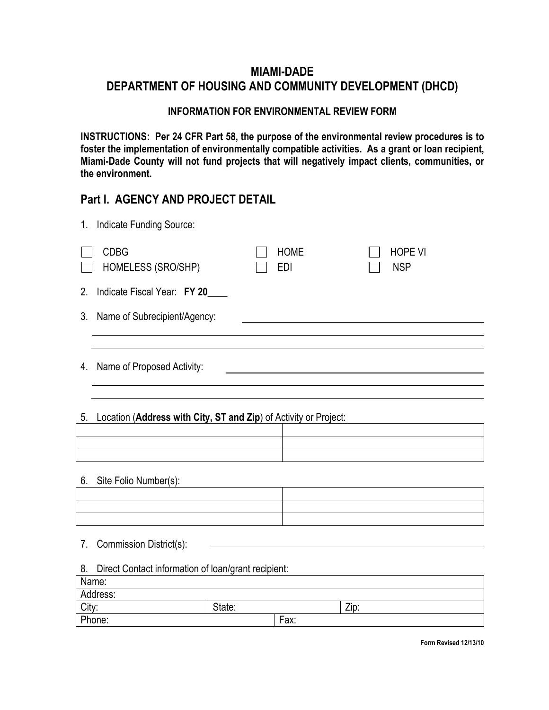# MIAMI-DADE DEPARTMENT OF HOUSING AND COMMUNITY DEVELOPMENT (DHCD)

#### INFORMATION FOR ENVIRONMENTAL REVIEW FORM

INSTRUCTIONS: Per 24 CFR Part 58, the purpose of the environmental review procedures is to foster the implementation of environmentally compatible activities. As a grant or loan recipient, Miami-Dade County will not fund projects that will negatively impact clients, communities, or the environment.

### Part I. AGENCY AND PROJECT DETAIL

| $1_{\cdot}$<br>Indicate Funding Source: |                           |                              |  |
|-----------------------------------------|---------------------------|------------------------------|--|
| <b>CDBG</b><br>HOMELESS (SRO/SHP)       | <b>HOME</b><br><b>EDI</b> | <b>HOPE VI</b><br><b>NSP</b> |  |
| 2.<br>Indicate Fiscal Year: FY 20       |                           |                              |  |
| 3. Name of Subrecipient/Agency:         |                           |                              |  |
|                                         |                           |                              |  |
| 4. Name of Proposed Activity:           |                           |                              |  |

### 5. Location (Address with City, ST and Zip) of Activity or Project:

#### 6. Site Folio Number(s):

| the contract of the contract of the contract of the contract of the contract of the contract of the contract of<br>,我们的人们就会在这里,我们的人们就会在这里,我们的人们就会在这里,我们的人们就会在这里,我们的人们就会在这里,我们的人们就会在这里,我们的人们就会在这里,我们 |  |
|-----------------------------------------------------------------------------------------------------------------------------------------------------------------------------------------------------|--|
|                                                                                                                                                                                                     |  |
|                                                                                                                                                                                                     |  |
|                                                                                                                                                                                                     |  |

#### 7. Commission District(s):

#### 8. Direct Contact information of loan/grant recipient:

| Name:    |        |      |      |
|----------|--------|------|------|
| Address: |        |      |      |
| City:    | State: |      | Zip: |
| Phone:   |        | Fax: |      |

Form Revised 12/13/10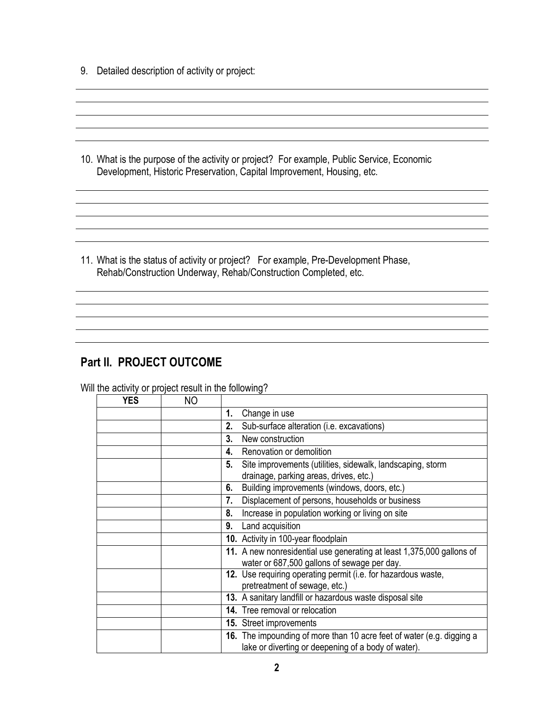9. Detailed description of activity or project:

10. What is the purpose of the activity or project? For example, Public Service, Economic Development, Historic Preservation, Capital Improvement, Housing, etc.

<u> 1989 - Andrea Station Barbara, amerikan personal (h. 1989).</u>

11. What is the status of activity or project? For example, Pre-Development Phase, Rehab/Construction Underway, Rehab/Construction Completed, etc.

# Part II. PROJECT OUTCOME

Will the activity or project result in the following?

| YES | NΟ |    |                                                                                                                              |  |
|-----|----|----|------------------------------------------------------------------------------------------------------------------------------|--|
|     |    | 1. | Change in use                                                                                                                |  |
|     |    | 2. | Sub-surface alteration (i.e. excavations)                                                                                    |  |
|     |    | 3. | New construction                                                                                                             |  |
|     |    | 4. | Renovation or demolition                                                                                                     |  |
|     |    | 5. | Site improvements (utilities, sidewalk, landscaping, storm<br>drainage, parking areas, drives, etc.)                         |  |
|     |    | 6. | Building improvements (windows, doors, etc.)                                                                                 |  |
|     |    | 7. | Displacement of persons, households or business                                                                              |  |
|     |    | 8. | Increase in population working or living on site                                                                             |  |
|     |    | 9. | Land acquisition                                                                                                             |  |
|     |    |    | 10. Activity in 100-year floodplain                                                                                          |  |
|     |    |    | 11. A new nonresidential use generating at least 1,375,000 gallons of<br>water or 687,500 gallons of sewage per day.         |  |
|     |    |    | 12. Use requiring operating permit (i.e. for hazardous waste,<br>pretreatment of sewage, etc.)                               |  |
|     |    |    | 13. A sanitary landfill or hazardous waste disposal site                                                                     |  |
|     |    |    | 14. Tree removal or relocation                                                                                               |  |
|     |    |    | 15. Street improvements                                                                                                      |  |
|     |    |    | 16. The impounding of more than 10 acre feet of water (e.g. digging a<br>lake or diverting or deepening of a body of water). |  |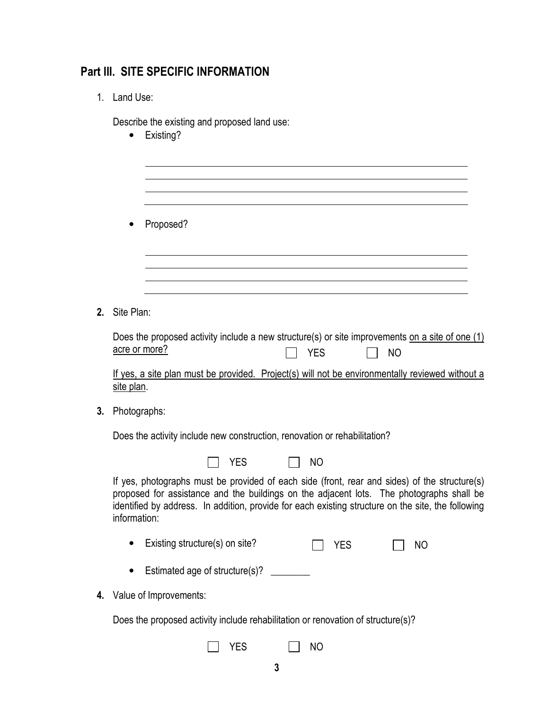## Part III. SITE SPECIFIC INFORMATION

1. Land Use:

Describe the existing and proposed land use:

• Existing?

• Proposed?

2. Site Plan:

| Does the proposed activity include a new structure(s) or site improvements on a site of one $(1)$ |  |            |           |  |  |
|---------------------------------------------------------------------------------------------------|--|------------|-----------|--|--|
| acre or more?                                                                                     |  | $\Box$ YES | $\Box$ NO |  |  |

If yes, a site plan must be provided. Project(s) will not be environmentally reviewed without a site plan.

3. Photographs:

Does the activity include new construction, renovation or rehabilitation?

|  | II YES |  | $\vert$ $\vert$ NO |                                                 |  |
|--|--------|--|--------------------|-------------------------------------------------|--|
|  |        |  |                    | aphs must be provided of each side (front, real |  |

If yes, photographs must be provided of each side (front, rear and sides) of the structure(s) proposed for assistance and the buildings on the adjacent lots. The photographs shall be identified by address. In addition, provide for each existing structure on the site, the following information:

- Existing structure(s) on site? <br>
T YES 
T NO
- Estimated age of structure(s)?
- 4. Value of Improvements:

Does the proposed activity include rehabilitation or renovation of structure(s)?

|  | ⌒<br>จ |  | N <sub>0</sub> |
|--|--------|--|----------------|
|--|--------|--|----------------|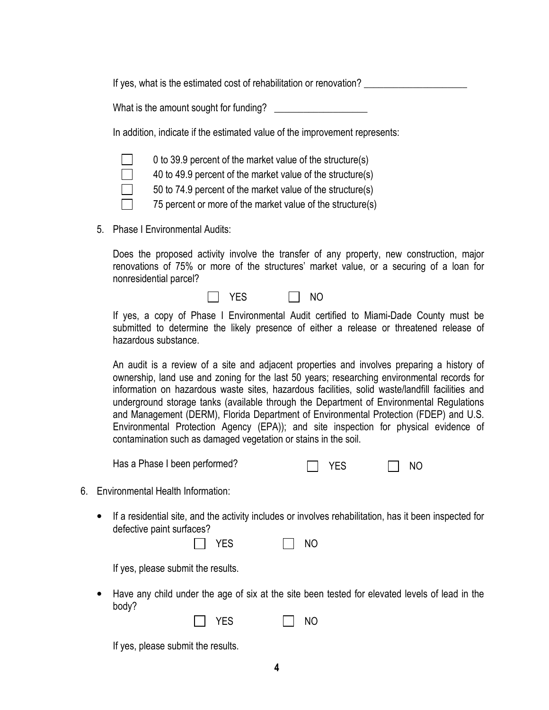If yes, what is the estimated cost of rehabilitation or renovation?

What is the amount sought for funding? \_\_\_\_\_\_\_\_\_\_\_\_\_\_\_\_\_\_\_

In addition, indicate if the estimated value of the improvement represents:



0 to 39.9 percent of the market value of the structure(s)

40 to 49.9 percent of the market value of the structure(s)

50 to 74.9 percent of the market value of the structure(s)

 $\Box$  75 percent or more of the market value of the structure(s)

5. Phase I Environmental Audits:

Does the proposed activity involve the transfer of any property, new construction, major renovations of 75% or more of the structures' market value, or a securing of a loan for nonresidential parcel?

If yes, a copy of Phase I Environmental Audit certified to Miami-Dade County must be submitted to determine the likely presence of either a release or threatened release of hazardous substance.

An audit is a review of a site and adjacent properties and involves preparing a history of ownership, land use and zoning for the last 50 years; researching environmental records for information on hazardous waste sites, hazardous facilities, solid waste/landfill facilities and underground storage tanks (available through the Department of Environmental Regulations and Management (DERM), Florida Department of Environmental Protection (FDEP) and U.S. Environmental Protection Agency (EPA)); and site inspection for physical evidence of contamination such as damaged vegetation or stains in the soil.

Has a Phase I been performed?  $\Box$  YES  $\Box$  NO

| ⌒<br>. .<br>- |
|---------------|
|---------------|

- 6. Environmental Health Information:
	- If a residential site, and the activity includes or involves rehabilitation, has it been inspected for defective paint surfaces?

| -^   | NO |
|------|----|
| - 65 |    |

If yes, please submit the results.

• Have any child under the age of six at the site been tested for elevated levels of lead in the body?

NO

| ⌒<br>J.<br>$\overline{\phantom{0}}$ |
|-------------------------------------|
|-------------------------------------|

If yes, please submit the results.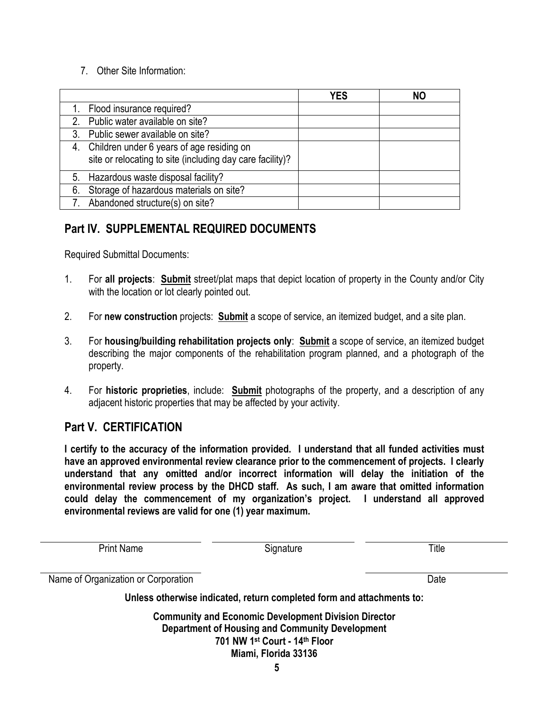#### 7. Other Site Information:

|    |                                                                                                           | YES | <b>NO</b> |
|----|-----------------------------------------------------------------------------------------------------------|-----|-----------|
|    | 1. Flood insurance required?                                                                              |     |           |
|    | 2. Public water available on site?                                                                        |     |           |
|    | 3. Public sewer available on site?                                                                        |     |           |
|    | 4. Children under 6 years of age residing on<br>site or relocating to site (including day care facility)? |     |           |
|    | 5. Hazardous waste disposal facility?                                                                     |     |           |
| 6. | Storage of hazardous materials on site?                                                                   |     |           |
|    | Abandoned structure(s) on site?                                                                           |     |           |

# Part IV. SUPPLEMENTAL REQUIRED DOCUMENTS

Required Submittal Documents:

- 1. For all projects: **Submit** street/plat maps that depict location of property in the County and/or City with the location or lot clearly pointed out.
- 2. For new construction projects: Submit a scope of service, an itemized budget, and a site plan.
- 3. For housing/building rehabilitation projects only: **Submit** a scope of service, an itemized budget describing the major components of the rehabilitation program planned, and a photograph of the property.
- 4. For historic proprieties, include: Submit photographs of the property, and a description of any adjacent historic properties that may be affected by your activity.

### Part V. CERTIFICATION

I certify to the accuracy of the information provided. I understand that all funded activities must have an approved environmental review clearance prior to the commencement of projects. I clearly understand that any omitted and/or incorrect information will delay the initiation of the environmental review process by the DHCD staff. As such, I am aware that omitted information could delay the commencement of my organization's project. I understand all approved environmental reviews are valid for one (1) year maximum.

| <b>Print Name</b>                                                                                              | Signature | Title |  |  |  |  |  |
|----------------------------------------------------------------------------------------------------------------|-----------|-------|--|--|--|--|--|
| Name of Organization or Corporation                                                                            |           | Date  |  |  |  |  |  |
| Unless otherwise indicated, return completed form and attachments to:                                          |           |       |  |  |  |  |  |
| <b>Community and Economic Development Division Director</b><br>Department of Housing and Community Development |           |       |  |  |  |  |  |

701 NW 1st Court - 14th Floor Miami, Florida 33136